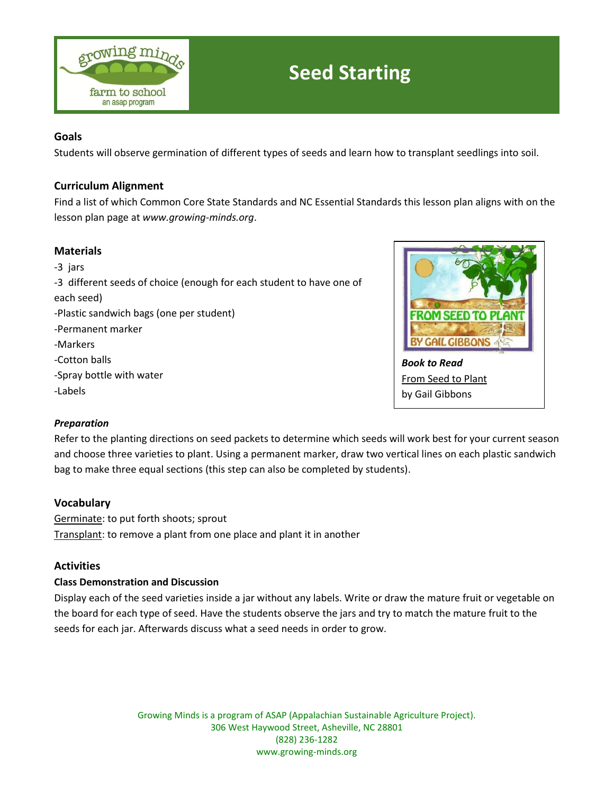

# **Seed Starting**

## **Goals**

Students will observe germination of different types of seeds and learn how to transplant seedlings into soil.

## **Curriculum Alignment**

Find a list of which Common Core State Standards and NC Essential Standards this lesson plan aligns with on the lesson plan page at *www.growing-minds.org*.

## **Materials**

*-*3 jars -3 different seeds of choice (enough for each student to have one of each seed) -Plastic sandwich bags (one per student) -Permanent marker -Markers -Cotton balls -Spray bottle with water



### *Preparation*

-Labels

Refer to the planting directions on seed packets to determine which seeds will work best for your current season and choose three varieties to plant. Using a permanent marker, draw two vertical lines on each plastic sandwich bag to make three equal sections (this step can also be completed by students).

### **Vocabulary**

Germinate: to put forth shoots; sprout Transplant: to remove a plant from one place and plant it in another

### **Activities**

### **Class Demonstration and Discussion**

Display each of the seed varieties inside a jar without any labels. Write or draw the mature fruit or vegetable on the board for each type of seed. Have the students observe the jars and try to match the mature fruit to the seeds for each jar. Afterwards discuss what a seed needs in order to grow.

> Growing Minds is a program of ASAP (Appalachian Sustainable Agriculture Project). 306 West Haywood Street, Asheville, NC 28801 (828) 236-1282 www.growing-minds.org